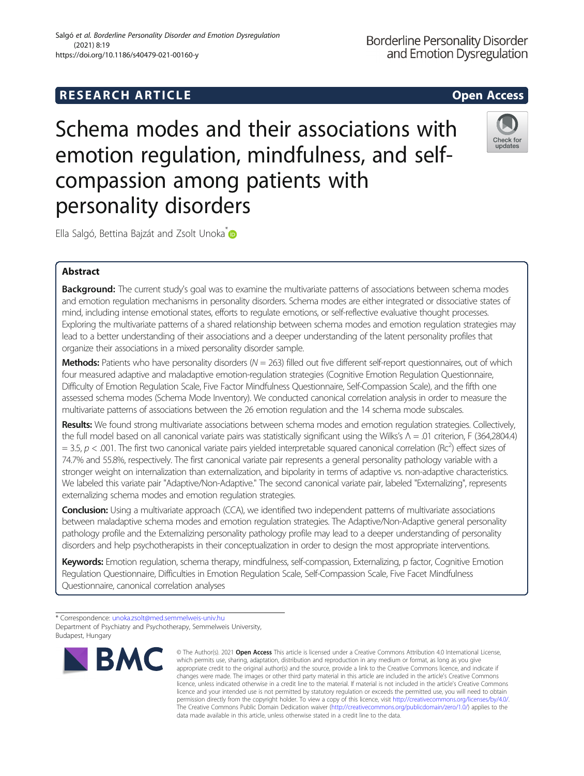# Ella Salgó, Bettina Bajzát and Zsolt Unoka<sup>\*</sup>

# Abstract

**Background:** The current study's goal was to examine the multivariate patterns of associations between schema modes and emotion regulation mechanisms in personality disorders. Schema modes are either integrated or dissociative states of mind, including intense emotional states, efforts to regulate emotions, or self-reflective evaluative thought processes. Exploring the multivariate patterns of a shared relationship between schema modes and emotion regulation strategies may lead to a better understanding of their associations and a deeper understanding of the latent personality profiles that organize their associations in a mixed personality disorder sample.

Schema modes and their associations with

emotion regulation, mindfulness, and self-

compassion among patients with

Methods: Patients who have personality disorders ( $N = 263$ ) filled out five different self-report questionnaires, out of which four measured adaptive and maladaptive emotion-regulation strategies (Cognitive Emotion Regulation Questionnaire, Difficulty of Emotion Regulation Scale, Five Factor Mindfulness Questionnaire, Self-Compassion Scale), and the fifth one assessed schema modes (Schema Mode Inventory). We conducted canonical correlation analysis in order to measure the multivariate patterns of associations between the 26 emotion regulation and the 14 schema mode subscales.

Results: We found strong multivariate associations between schema modes and emotion regulation strategies. Collectively, the full model based on all canonical variate pairs was statistically significant using the Wilks's Λ = .01 criterion, F (364,2804.4)  $=$  3.5,  $p$  < .001. The first two canonical variate pairs yielded interpretable squared canonical correlation (Rc<sup>2</sup>) effect sizes of 74.7% and 55.8%, respectively. The first canonical variate pair represents a general personality pathology variable with a stronger weight on internalization than externalization, and bipolarity in terms of adaptive vs. non-adaptive characteristics. We labeled this variate pair "Adaptive/Non-Adaptive." The second canonical variate pair, labeled "Externalizing", represents externalizing schema modes and emotion regulation strategies.

**Conclusion:** Using a multivariate approach (CCA), we identified two independent patterns of multivariate associations between maladaptive schema modes and emotion regulation strategies. The Adaptive/Non-Adaptive general personality pathology profile and the Externalizing personality pathology profile may lead to a deeper understanding of personality disorders and help psychotherapists in their conceptualization in order to design the most appropriate interventions.

Keywords: Emotion regulation, schema therapy, mindfulness, self-compassion, Externalizing, p factor, Cognitive Emotion Regulation Questionnaire, Difficulties in Emotion Regulation Scale, Self-Compassion Scale, Five Facet Mindfulness Questionnaire, canonical correlation analyses

personality disorders





© The Author(s), 2021 **Open Access** This article is licensed under a Creative Commons Attribution 4.0 International License, which permits use, sharing, adaptation, distribution and reproduction in any medium or format, as long as you give appropriate credit to the original author(s) and the source, provide a link to the Creative Commons licence, and indicate if changes were made. The images or other third party material in this article are included in the article's Creative Commons licence, unless indicated otherwise in a credit line to the material. If material is not included in the article's Creative Commons licence and your intended use is not permitted by statutory regulation or exceeds the permitted use, you will need to obtain permission directly from the copyright holder. To view a copy of this licence, visit [http://creativecommons.org/licenses/by/4.0/.](http://creativecommons.org/licenses/by/4.0/) The Creative Commons Public Domain Dedication waiver [\(http://creativecommons.org/publicdomain/zero/1.0/](http://creativecommons.org/publicdomain/zero/1.0/)) applies to the data made available in this article, unless otherwise stated in a credit line to the data.

<sup>\*</sup> Correspondence: [unoka.zsolt@med.semmelweis-univ.hu](mailto:unoka.zsolt@med.semmelweis-univ.hu) Department of Psychiatry and Psychotherapy, Semmelweis University, Budapest, Hungary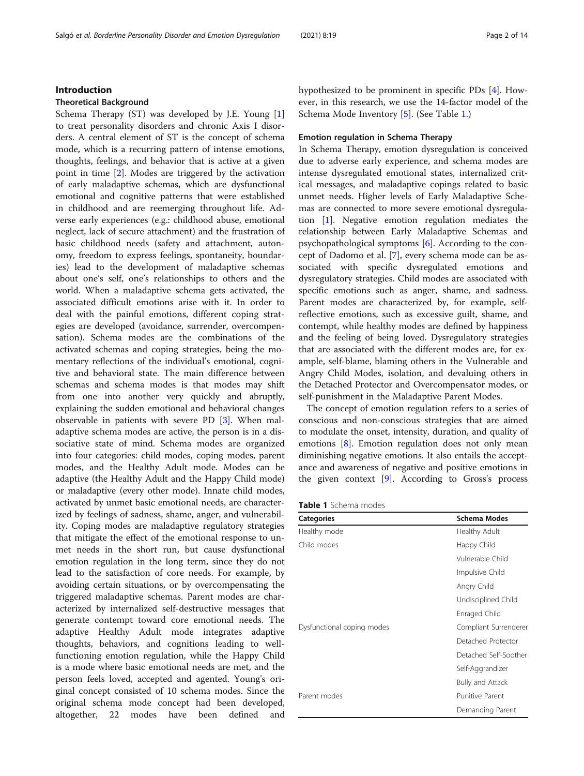# Introduction

# Theoretical Background

Schema Therapy (ST) was developed by J.E. Young [\[1](#page-11-0)] to treat personality disorders and chronic Axis I disorders. A central element of ST is the concept of schema mode, which is a recurring pattern of intense emotions, thoughts, feelings, and behavior that is active at a given point in time [[2\]](#page-11-0). Modes are triggered by the activation of early maladaptive schemas, which are dysfunctional emotional and cognitive patterns that were established in childhood and are reemerging throughout life. Adverse early experiences (e.g.: childhood abuse, emotional neglect, lack of secure attachment) and the frustration of basic childhood needs (safety and attachment, autonomy, freedom to express feelings, spontaneity, boundaries) lead to the development of maladaptive schemas about one's self, one's relationships to others and the world. When a maladaptive schema gets activated, the associated difficult emotions arise with it. In order to deal with the painful emotions, different coping strategies are developed (avoidance, surrender, overcompensation). Schema modes are the combinations of the activated schemas and coping strategies, being the momentary reflections of the individual's emotional, cognitive and behavioral state. The main difference between schemas and schema modes is that modes may shift from one into another very quickly and abruptly, explaining the sudden emotional and behavioral changes observable in patients with severe PD [\[3\]](#page-11-0). When maladaptive schema modes are active, the person is in a dissociative state of mind. Schema modes are organized into four categories: child modes, coping modes, parent modes, and the Healthy Adult mode. Modes can be adaptive (the Healthy Adult and the Happy Child mode) or maladaptive (every other mode). Innate child modes, activated by unmet basic emotional needs, are characterized by feelings of sadness, shame, anger, and vulnerability. Coping modes are maladaptive regulatory strategies that mitigate the effect of the emotional response to unmet needs in the short run, but cause dysfunctional emotion regulation in the long term, since they do not lead to the satisfaction of core needs. For example, by avoiding certain situations, or by overcompensating the triggered maladaptive schemas. Parent modes are characterized by internalized self-destructive messages that generate contempt toward core emotional needs. The adaptive Healthy Adult mode integrates adaptive thoughts, behaviors, and cognitions leading to wellfunctioning emotion regulation, while the Happy Child is a mode where basic emotional needs are met, and the person feels loved, accepted and agented. Young's original concept consisted of 10 schema modes. Since the original schema mode concept had been developed, altogether, 22 modes have been defined and hypothesized to be prominent in specific PDs [[4\]](#page-11-0). However, in this research, we use the 14-factor model of the Schema Mode Inventory [[5\]](#page-11-0). (See Table 1.)

# Emotion regulation in Schema Therapy

In Schema Therapy, emotion dysregulation is conceived due to adverse early experience, and schema modes are intense dysregulated emotional states, internalized critical messages, and maladaptive copings related to basic unmet needs. Higher levels of Early Maladaptive Schemas are connected to more severe emotional dysregulation [[1](#page-11-0)]. Negative emotion regulation mediates the relationship between Early Maladaptive Schemas and psychopathological symptoms [[6\]](#page-11-0). According to the concept of Dadomo et al. [[7\]](#page-11-0), every schema mode can be associated with specific dysregulated emotions and dysregulatory strategies. Child modes are associated with specific emotions such as anger, shame, and sadness. Parent modes are characterized by, for example, selfreflective emotions, such as excessive guilt, shame, and contempt, while healthy modes are defined by happiness and the feeling of being loved. Dysregulatory strategies that are associated with the different modes are, for example, self-blame, blaming others in the Vulnerable and Angry Child Modes, isolation, and devaluing others in the Detached Protector and Overcompensator modes, or self-punishment in the Maladaptive Parent Modes.

The concept of emotion regulation refers to a series of conscious and non-conscious strategies that are aimed to modulate the onset, intensity, duration, and quality of emotions [[8](#page-11-0)]. Emotion regulation does not only mean diminishing negative emotions. It also entails the acceptance and awareness of negative and positive emotions in the given context  $[9]$  $[9]$ . According to Gross's process

Table 1 Schema modes

| <b>Categories</b>          | <b>Schema Modes</b>   |
|----------------------------|-----------------------|
| Healthy mode               | Healthy Adult         |
| Child modes                | Happy Child           |
|                            | Vulnerable Child      |
|                            | Impulsive Child       |
|                            | Angry Child           |
|                            | Undisciplined Child   |
|                            | Enraged Child         |
| Dysfunctional coping modes | Compliant Surrenderer |
|                            | Detached Protector    |
|                            | Detached Self-Soother |
|                            | Self-Aggrandizer      |
|                            | Bully and Attack      |
| Parent modes               | Punitive Parent       |
|                            | Demanding Parent      |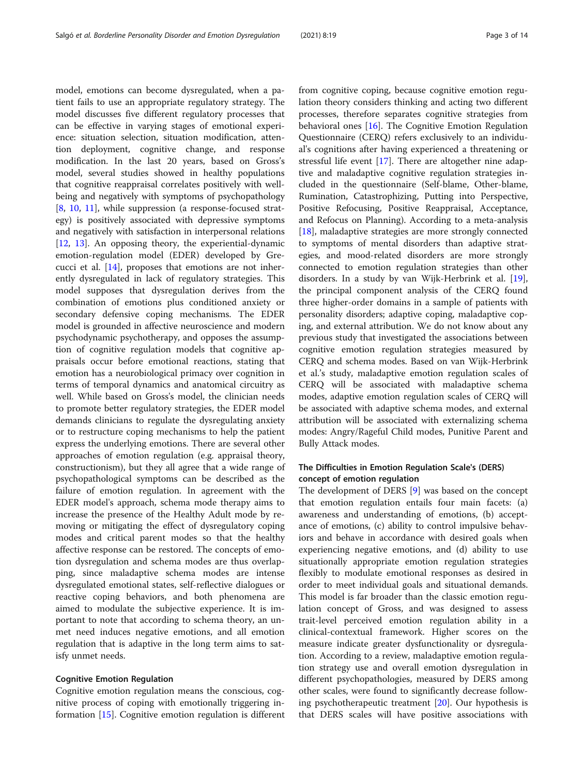model, emotions can become dysregulated, when a patient fails to use an appropriate regulatory strategy. The model discusses five different regulatory processes that can be effective in varying stages of emotional experience: situation selection, situation modification, attention deployment, cognitive change, and response modification. In the last 20 years, based on Gross's model, several studies showed in healthy populations that cognitive reappraisal correlates positively with wellbeing and negatively with symptoms of psychopathology [[8,](#page-11-0) [10,](#page-11-0) [11](#page-11-0)], while suppression (a response-focused strategy) is positively associated with depressive symptoms and negatively with satisfaction in interpersonal relations [[12,](#page-11-0) [13](#page-11-0)]. An opposing theory, the experiential-dynamic emotion-regulation model (EDER) developed by Grecucci et al. [[14\]](#page-11-0), proposes that emotions are not inherently dysregulated in lack of regulatory strategies. This model supposes that dysregulation derives from the combination of emotions plus conditioned anxiety or secondary defensive coping mechanisms. The EDER model is grounded in affective neuroscience and modern psychodynamic psychotherapy, and opposes the assumption of cognitive regulation models that cognitive appraisals occur before emotional reactions, stating that emotion has a neurobiological primacy over cognition in terms of temporal dynamics and anatomical circuitry as well. While based on Gross's model, the clinician needs to promote better regulatory strategies, the EDER model demands clinicians to regulate the dysregulating anxiety or to restructure coping mechanisms to help the patient express the underlying emotions. There are several other approaches of emotion regulation (e.g. appraisal theory, constructionism), but they all agree that a wide range of psychopathological symptoms can be described as the failure of emotion regulation. In agreement with the EDER model's approach, schema mode therapy aims to increase the presence of the Healthy Adult mode by removing or mitigating the effect of dysregulatory coping modes and critical parent modes so that the healthy affective response can be restored. The concepts of emotion dysregulation and schema modes are thus overlapping, since maladaptive schema modes are intense dysregulated emotional states, self-reflective dialogues or reactive coping behaviors, and both phenomena are aimed to modulate the subjective experience. It is important to note that according to schema theory, an unmet need induces negative emotions, and all emotion regulation that is adaptive in the long term aims to satisfy unmet needs.

# Cognitive Emotion Regulation

Cognitive emotion regulation means the conscious, cognitive process of coping with emotionally triggering information [[15](#page-11-0)]. Cognitive emotion regulation is different

from cognitive coping, because cognitive emotion regulation theory considers thinking and acting two different processes, therefore separates cognitive strategies from behavioral ones [[16](#page-11-0)]. The Cognitive Emotion Regulation Questionnaire (CERQ) refers exclusively to an individual's cognitions after having experienced a threatening or stressful life event [[17](#page-11-0)]. There are altogether nine adaptive and maladaptive cognitive regulation strategies included in the questionnaire (Self-blame, Other-blame, Rumination, Catastrophizing, Putting into Perspective, Positive Refocusing, Positive Reappraisal, Acceptance, and Refocus on Planning). According to a meta-analysis [[18\]](#page-11-0), maladaptive strategies are more strongly connected to symptoms of mental disorders than adaptive strategies, and mood-related disorders are more strongly connected to emotion regulation strategies than other disorders. In a study by van Wijk-Herbrink et al. [\[19](#page-11-0)], the principal component analysis of the CERQ found three higher-order domains in a sample of patients with personality disorders; adaptive coping, maladaptive coping, and external attribution. We do not know about any previous study that investigated the associations between cognitive emotion regulation strategies measured by CERQ and schema modes. Based on van Wijk-Herbrink et al.'s study, maladaptive emotion regulation scales of CERQ will be associated with maladaptive schema modes, adaptive emotion regulation scales of CERQ will be associated with adaptive schema modes, and external attribution will be associated with externalizing schema modes: Angry/Rageful Child modes, Punitive Parent and Bully Attack modes.

# The Difficulties in Emotion Regulation Scale's (DERS) concept of emotion regulation

The development of DERS [\[9](#page-11-0)] was based on the concept that emotion regulation entails four main facets: (a) awareness and understanding of emotions, (b) acceptance of emotions, (c) ability to control impulsive behaviors and behave in accordance with desired goals when experiencing negative emotions, and (d) ability to use situationally appropriate emotion regulation strategies flexibly to modulate emotional responses as desired in order to meet individual goals and situational demands. This model is far broader than the classic emotion regulation concept of Gross, and was designed to assess trait-level perceived emotion regulation ability in a clinical-contextual framework. Higher scores on the measure indicate greater dysfunctionality or dysregulation. According to a review, maladaptive emotion regulation strategy use and overall emotion dysregulation in different psychopathologies, measured by DERS among other scales, were found to significantly decrease following psychotherapeutic treatment [\[20\]](#page-12-0). Our hypothesis is that DERS scales will have positive associations with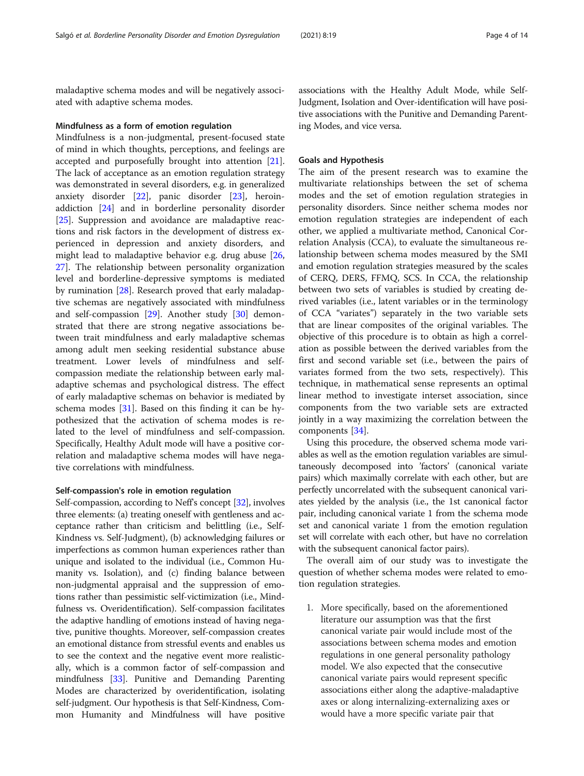maladaptive schema modes and will be negatively associated with adaptive schema modes.

# Mindfulness as a form of emotion regulation

Mindfulness is a non-judgmental, present-focused state of mind in which thoughts, perceptions, and feelings are accepted and purposefully brought into attention [\[21](#page-12-0)]. The lack of acceptance as an emotion regulation strategy was demonstrated in several disorders, e.g. in generalized anxiety disorder [[22\]](#page-12-0), panic disorder [\[23](#page-12-0)], heroinaddiction [[24\]](#page-12-0) and in borderline personality disorder [[25\]](#page-12-0). Suppression and avoidance are maladaptive reactions and risk factors in the development of distress experienced in depression and anxiety disorders, and might lead to maladaptive behavior e.g. drug abuse [[26](#page-12-0), [27\]](#page-12-0). The relationship between personality organization level and borderline-depressive symptoms is mediated by rumination [[28](#page-12-0)]. Research proved that early maladaptive schemas are negatively associated with mindfulness and self-compassion [[29](#page-12-0)]. Another study [\[30](#page-12-0)] demonstrated that there are strong negative associations between trait mindfulness and early maladaptive schemas among adult men seeking residential substance abuse treatment. Lower levels of mindfulness and selfcompassion mediate the relationship between early maladaptive schemas and psychological distress. The effect of early maladaptive schemas on behavior is mediated by schema modes [[31](#page-12-0)]. Based on this finding it can be hypothesized that the activation of schema modes is related to the level of mindfulness and self-compassion. Specifically, Healthy Adult mode will have a positive correlation and maladaptive schema modes will have negative correlations with mindfulness.

# Self-compassion's role in emotion regulation

Self-compassion, according to Neff's concept [\[32\]](#page-12-0), involves three elements: (a) treating oneself with gentleness and acceptance rather than criticism and belittling (i.e., Self-Kindness vs. Self-Judgment), (b) acknowledging failures or imperfections as common human experiences rather than unique and isolated to the individual (i.e., Common Humanity vs. Isolation), and (c) finding balance between non-judgmental appraisal and the suppression of emotions rather than pessimistic self-victimization (i.e., Mindfulness vs. Overidentification). Self-compassion facilitates the adaptive handling of emotions instead of having negative, punitive thoughts. Moreover, self-compassion creates an emotional distance from stressful events and enables us to see the context and the negative event more realistically, which is a common factor of self-compassion and mindfulness [\[33\]](#page-12-0). Punitive and Demanding Parenting Modes are characterized by overidentification, isolating self-judgment. Our hypothesis is that Self-Kindness, Common Humanity and Mindfulness will have positive

associations with the Healthy Adult Mode, while Self-Judgment, Isolation and Over-identification will have positive associations with the Punitive and Demanding Parenting Modes, and vice versa.

# Goals and Hypothesis

The aim of the present research was to examine the multivariate relationships between the set of schema modes and the set of emotion regulation strategies in personality disorders. Since neither schema modes nor emotion regulation strategies are independent of each other, we applied a multivariate method, Canonical Correlation Analysis (CCA), to evaluate the simultaneous relationship between schema modes measured by the SMI and emotion regulation strategies measured by the scales of CERQ, DERS, FFMQ, SCS. In CCA, the relationship between two sets of variables is studied by creating derived variables (i.e., latent variables or in the terminology of CCA "variates") separately in the two variable sets that are linear composites of the original variables. The objective of this procedure is to obtain as high a correlation as possible between the derived variables from the first and second variable set (i.e., between the pairs of variates formed from the two sets, respectively). This technique, in mathematical sense represents an optimal linear method to investigate interset association, since components from the two variable sets are extracted jointly in a way maximizing the correlation between the components [\[34\]](#page-12-0).

Using this procedure, the observed schema mode variables as well as the emotion regulation variables are simultaneously decomposed into 'factors' (canonical variate pairs) which maximally correlate with each other, but are perfectly uncorrelated with the subsequent canonical variates yielded by the analysis (i.e., the 1st canonical factor pair, including canonical variate 1 from the schema mode set and canonical variate 1 from the emotion regulation set will correlate with each other, but have no correlation with the subsequent canonical factor pairs).

The overall aim of our study was to investigate the question of whether schema modes were related to emotion regulation strategies.

1. More specifically, based on the aforementioned literature our assumption was that the first canonical variate pair would include most of the associations between schema modes and emotion regulations in one general personality pathology model. We also expected that the consecutive canonical variate pairs would represent specific associations either along the adaptive-maladaptive axes or along internalizing-externalizing axes or would have a more specific variate pair that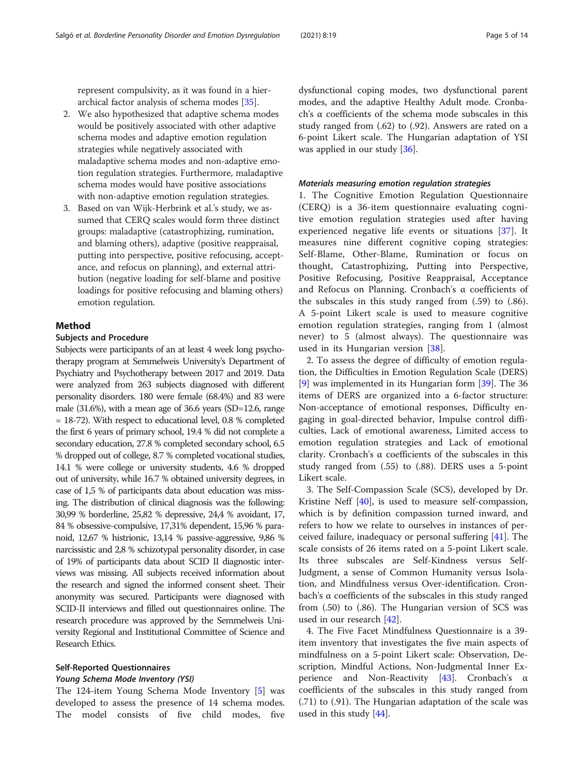represent compulsivity, as it was found in a hierarchical factor analysis of schema modes [\[35\]](#page-12-0).

- 2. We also hypothesized that adaptive schema modes would be positively associated with other adaptive schema modes and adaptive emotion regulation strategies while negatively associated with maladaptive schema modes and non-adaptive emotion regulation strategies. Furthermore, maladaptive schema modes would have positive associations with non-adaptive emotion regulation strategies.
- 3. Based on van Wijk-Herbrink et al.'s study, we assumed that CERQ scales would form three distinct groups: maladaptive (catastrophizing, rumination, and blaming others), adaptive (positive reappraisal, putting into perspective, positive refocusing, acceptance, and refocus on planning), and external attribution (negative loading for self-blame and positive loadings for positive refocusing and blaming others) emotion regulation.

# Method

# Subjects and Procedure

Subjects were participants of an at least 4 week long psychotherapy program at Semmelweis University's Department of Psychiatry and Psychotherapy between 2017 and 2019. Data were analyzed from 263 subjects diagnosed with different personality disorders. 180 were female (68.4%) and 83 were male (31.6%), with a mean age of 36.6 years (SD=12.6, range = 18-72). With respect to educational level, 0.8 % completed the first 6 years of primary school, 19.4 % did not complete a secondary education, 27.8 % completed secondary school, 6.5 % dropped out of college, 8.7 % completed vocational studies, 14.1 % were college or university students, 4.6 % dropped out of university, while 16.7 % obtained university degrees, in case of 1,5 % of participants data about education was missing. The distribution of clinical diagnosis was the following: 30,99 % borderline, 25,82 % depressive, 24,4 % avoidant, 17, 84 % obsessive-compulsive, 17,31% dependent, 15,96 % paranoid, 12,67 % histrionic, 13,14 % passive-aggressive, 9,86 % narcissistic and 2,8 % schizotypal personality disorder, in case of 19% of participants data about SCID II diagnostic interviews was missing. All subjects received information about the research and signed the informed consent sheet. Their anonymity was secured. Participants were diagnosed with SCID-II interviews and filled out questionnaires online. The research procedure was approved by the Semmelweis University Regional and Institutional Committee of Science and Research Ethics.

# Self-Reported Questionnaires

#### Young Schema Mode Inventory (YSI)

The 124-item Young Schema Mode Inventory [[5\]](#page-11-0) was developed to assess the presence of 14 schema modes. The model consists of five child modes, five dysfunctional coping modes, two dysfunctional parent modes, and the adaptive Healthy Adult mode. Cronbach's α coefficients of the schema mode subscales in this study ranged from (.62) to (.92). Answers are rated on a 6-point Likert scale. The Hungarian adaptation of YSI was applied in our study [\[36\]](#page-12-0).

#### Materials measuring emotion regulation strategies

1. The Cognitive Emotion Regulation Questionnaire (CERQ) is a 36-item questionnaire evaluating cognitive emotion regulation strategies used after having experienced negative life events or situations [\[37](#page-12-0)]. It measures nine different cognitive coping strategies: Self-Blame, Other-Blame, Rumination or focus on thought, Catastrophizing, Putting into Perspective, Positive Refocusing, Positive Reappraisal, Acceptance and Refocus on Planning. Cronbach's α coefficients of the subscales in this study ranged from (.59) to (.86). A 5-point Likert scale is used to measure cognitive emotion regulation strategies, ranging from 1 (almost never) to 5 (almost always). The questionnaire was used in its Hungarian version [[38\]](#page-12-0).

2. To assess the degree of difficulty of emotion regulation, the Difficulties in Emotion Regulation Scale (DERS) [[9\]](#page-11-0) was implemented in its Hungarian form [[39\]](#page-12-0). The 36 items of DERS are organized into a 6-factor structure: Non-acceptance of emotional responses, Difficulty engaging in goal-directed behavior, Impulse control difficulties, Lack of emotional awareness, Limited access to emotion regulation strategies and Lack of emotional clarity. Cronbach's α coefficients of the subscales in this study ranged from (.55) to (.88). DERS uses a 5-point Likert scale.

3. The Self-Compassion Scale (SCS), developed by Dr. Kristine Neff [\[40](#page-12-0)], is used to measure self-compassion, which is by definition compassion turned inward, and refers to how we relate to ourselves in instances of perceived failure, inadequacy or personal suffering [\[41\]](#page-12-0). The scale consists of 26 items rated on a 5-point Likert scale. Its three subscales are Self-Kindness versus Self-Judgment, a sense of Common Humanity versus Isolation, and Mindfulness versus Over-identification. Cronbach's α coefficients of the subscales in this study ranged from (.50) to (.86). The Hungarian version of SCS was used in our research [[42](#page-12-0)].

4. The Five Facet Mindfulness Questionnaire is a 39 item inventory that investigates the five main aspects of mindfulness on a 5-point Likert scale: Observation, Description, Mindful Actions, Non-Judgmental Inner Experience and Non-Reactivity [[43\]](#page-12-0). Cronbach's α coefficients of the subscales in this study ranged from (.71) to (.91). The Hungarian adaptation of the scale was used in this study [\[44\]](#page-12-0).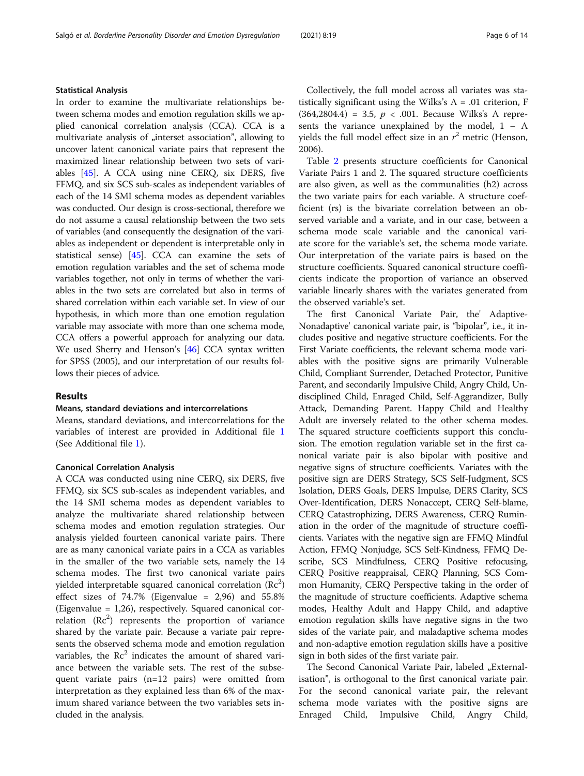In order to examine the multivariate relationships between schema modes and emotion regulation skills we applied canonical correlation analysis (CCA). CCA is a multivariate analysis of "interset association", allowing to uncover latent canonical variate pairs that represent the maximized linear relationship between two sets of variables [\[45](#page-12-0)]. A CCA using nine CERQ, six DERS, five FFMQ, and six SCS sub-scales as independent variables of each of the 14 SMI schema modes as dependent variables was conducted. Our design is cross-sectional, therefore we do not assume a causal relationship between the two sets of variables (and consequently the designation of the variables as independent or dependent is interpretable only in statistical sense) [\[45\]](#page-12-0). CCA can examine the sets of emotion regulation variables and the set of schema mode variables together, not only in terms of whether the variables in the two sets are correlated but also in terms of shared correlation within each variable set. In view of our hypothesis, in which more than one emotion regulation variable may associate with more than one schema mode, CCA offers a powerful approach for analyzing our data. We used Sherry and Henson's [\[46\]](#page-12-0) CCA syntax written for SPSS (2005), and our interpretation of our results follows their pieces of advice.

# Results

## Means, standard deviations and intercorrelations

Means, standard deviations, and intercorrelations for the variables of interest are provided in Additional file [1](#page-11-0) (See Additional file [1\)](#page-11-0).

# Canonical Correlation Analysis

A CCA was conducted using nine CERQ, six DERS, five FFMQ, six SCS sub-scales as independent variables, and the 14 SMI schema modes as dependent variables to analyze the multivariate shared relationship between schema modes and emotion regulation strategies. Our analysis yielded fourteen canonical variate pairs. There are as many canonical variate pairs in a CCA as variables in the smaller of the two variable sets, namely the 14 schema modes. The first two canonical variate pairs yielded interpretable squared canonical correlation  $(\mathrm{Rc}^2)$ effect sizes of  $74.7\%$  (Eigenvalue = 2,96) and  $55.8\%$ (Eigenvalue = 1,26), respectively. Squared canonical correlation  $(Rc^2)$  represents the proportion of variance shared by the variate pair. Because a variate pair represents the observed schema mode and emotion regulation variables, the  $\text{Rc}^2$  indicates the amount of shared variance between the variable sets. The rest of the subsequent variate pairs (n=12 pairs) were omitted from interpretation as they explained less than 6% of the maximum shared variance between the two variables sets included in the analysis.

Collectively, the full model across all variates was statistically significant using the Wilks's  $\Lambda = .01$  criterion, F (364,2804.4) = 3.5,  $p < .001$ . Because Wilks's  $\Lambda$  represents the variance unexplained by the model,  $1 - \Lambda$ yields the full model effect size in an  $r^2$  metric (Henson, 2006).

Table [2](#page-6-0) presents structure coefficients for Canonical Variate Pairs 1 and 2. The squared structure coefficients are also given, as well as the communalities (h2) across the two variate pairs for each variable. A structure coefficient (rs) is the bivariate correlation between an observed variable and a variate, and in our case, between a schema mode scale variable and the canonical variate score for the variable's set, the schema mode variate. Our interpretation of the variate pairs is based on the structure coefficients. Squared canonical structure coefficients indicate the proportion of variance an observed variable linearly shares with the variates generated from the observed variable's set.

The first Canonical Variate Pair, the' Adaptive-Nonadaptive' canonical variate pair, is "bipolar", i.e., it includes positive and negative structure coefficients. For the First Variate coefficients, the relevant schema mode variables with the positive signs are primarily Vulnerable Child, Compliant Surrender, Detached Protector, Punitive Parent, and secondarily Impulsive Child, Angry Child, Undisciplined Child, Enraged Child, Self-Aggrandizer, Bully Attack, Demanding Parent. Happy Child and Healthy Adult are inversely related to the other schema modes. The squared structure coefficients support this conclusion. The emotion regulation variable set in the first canonical variate pair is also bipolar with positive and negative signs of structure coefficients. Variates with the positive sign are DERS Strategy, SCS Self-Judgment, SCS Isolation, DERS Goals, DERS Impulse, DERS Clarity, SCS Over-Identification, DERS Nonaccept, CERQ Self-blame, CERQ Catastrophizing, DERS Awareness, CERQ Rumination in the order of the magnitude of structure coefficients. Variates with the negative sign are FFMQ Mindful Action, FFMQ Nonjudge, SCS Self-Kindness, FFMQ Describe, SCS Mindfulness, CERQ Positive refocusing, CERQ Positive reappraisal, CERQ Planning, SCS Common Humanity, CERQ Perspective taking in the order of the magnitude of structure coefficients. Adaptive schema modes, Healthy Adult and Happy Child, and adaptive emotion regulation skills have negative signs in the two sides of the variate pair, and maladaptive schema modes and non-adaptive emotion regulation skills have a positive sign in both sides of the first variate pair.

The Second Canonical Variate Pair, labeled "Externalisation", is orthogonal to the first canonical variate pair. For the second canonical variate pair, the relevant schema mode variates with the positive signs are Enraged Child, Impulsive Child, Angry Child,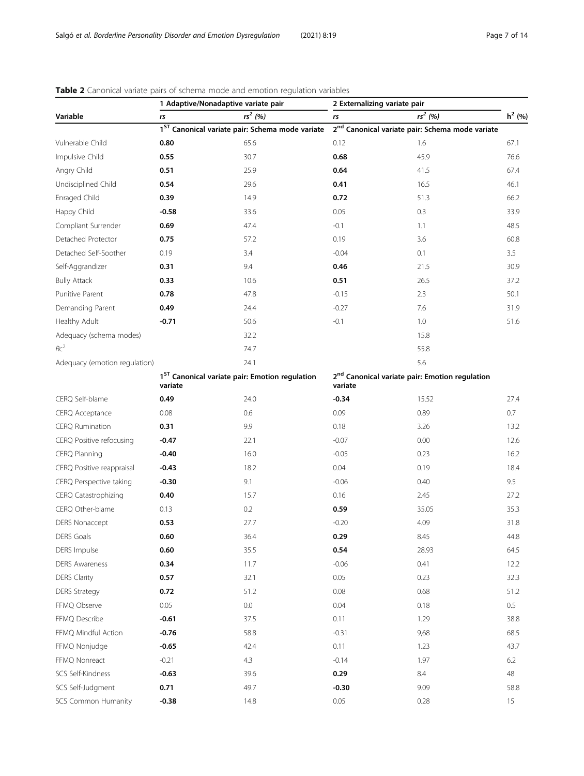| Variable                      | 1 Adaptive/Nonadaptive variate pair                                   |                                                             | 2 Externalizing variate pair                                          |           |           |
|-------------------------------|-----------------------------------------------------------------------|-------------------------------------------------------------|-----------------------------------------------------------------------|-----------|-----------|
|                               | rs                                                                    | $rs^2(%)$                                                   | rs                                                                    | $rs^2(%)$ | $h^2$ (%) |
|                               |                                                                       | 1 <sup>ST</sup> Canonical variate pair: Schema mode variate | 2 <sup>nd</sup> Canonical variate pair: Schema mode variate           |           |           |
| Vulnerable Child              | 0.80                                                                  | 65.6                                                        | 0.12                                                                  | 1.6       | 67.1      |
| Impulsive Child               | 0.55                                                                  | 30.7                                                        | 0.68                                                                  | 45.9      | 76.6      |
| Angry Child                   | 0.51                                                                  | 25.9                                                        | 0.64                                                                  | 41.5      | 67.4      |
| Undisciplined Child           | 0.54                                                                  | 29.6                                                        | 0.41                                                                  | 16.5      | 46.1      |
| Enraged Child                 | 0.39                                                                  | 14.9                                                        | 0.72                                                                  | 51.3      | 66.2      |
| Happy Child                   | $-0.58$                                                               | 33.6                                                        | 0.05                                                                  | 0.3       | 33.9      |
| Compliant Surrender           | 0.69                                                                  | 47.4                                                        | $-0.1$                                                                | 1.1       | 48.5      |
| Detached Protector            | 0.75                                                                  | 57.2                                                        | 0.19                                                                  | 3.6       | 60.8      |
| Detached Self-Soother         | 0.19                                                                  | 3.4                                                         | $-0.04$                                                               | 0.1       | 3.5       |
| Self-Aggrandizer              | 0.31                                                                  | 9.4                                                         | 0.46                                                                  | 21.5      | 30.9      |
| <b>Bully Attack</b>           | 0.33                                                                  | 10.6                                                        | 0.51                                                                  | 26.5      | 37.2      |
| Punitive Parent               | 0.78                                                                  | 47.8                                                        | $-0.15$                                                               | 2.3       | 50.1      |
| Demanding Parent              | 0.49                                                                  | 24.4                                                        | $-0.27$                                                               | 7.6       | 31.9      |
| Healthy Adult                 | $-0.71$                                                               | 50.6                                                        | $-0.1$                                                                | 1.0       | 51.6      |
| Adequacy (schema modes)       |                                                                       | 32.2                                                        |                                                                       | 15.8      |           |
| $Rc^2$                        |                                                                       | 74.7                                                        |                                                                       | 55.8      |           |
| Adequacy (emotion regulation) |                                                                       | 24.1                                                        |                                                                       | 5.6       |           |
|                               | 1 <sup>ST</sup> Canonical variate pair: Emotion regulation<br>variate |                                                             | 2 <sup>nd</sup> Canonical variate pair: Emotion regulation<br>variate |           |           |
| CERQ Self-blame               | 0.49                                                                  | 24.0                                                        | $-0.34$                                                               | 15.52     | 27.4      |
| CERQ Acceptance               | 0.08                                                                  | 0.6                                                         | 0.09                                                                  | 0.89      | 0.7       |
| <b>CERQ Rumination</b>        | 0.31                                                                  | 9.9                                                         | 0.18                                                                  | 3.26      | 13.2      |
| CERQ Positive refocusing      | $-0.47$                                                               | 22.1                                                        | $-0.07$                                                               | 0.00      | 12.6      |
| CERQ Planning                 | $-0.40$                                                               | 16.0                                                        | $-0.05$                                                               | 0.23      | 16.2      |
| CERQ Positive reappraisal     | $-0.43$                                                               | 18.2                                                        | 0.04                                                                  | 0.19      | 18.4      |
| CERQ Perspective taking       | $-0.30$                                                               | 9.1                                                         | $-0.06$                                                               | 0.40      | 9.5       |
| CERQ Catastrophizing          | 0.40                                                                  | 15.7                                                        | 0.16                                                                  | 2.45      | 27.2      |
| CERQ Other-blame              | 0.13                                                                  | 0.2                                                         | 0.59                                                                  | 35.05     | 35.3      |
| <b>DERS Nonaccept</b>         | 0.53                                                                  | 27.7                                                        | $-0.20$                                                               | 4.09      | 31.8      |
| DERS Goals                    | $0.60\,$                                                              | 36.4                                                        | 0.29                                                                  | 8.45      | 44.8      |
| DERS Impulse                  | 0.60                                                                  | 35.5                                                        | 0.54                                                                  | 28.93     | 64.5      |
| <b>DERS Awareness</b>         | 0.34                                                                  | 11.7                                                        | $-0.06$                                                               | 0.41      | 12.2      |
| <b>DERS Clarity</b>           | 0.57                                                                  | 32.1                                                        | 0.05                                                                  | 0.23      | 32.3      |
| <b>DERS Strategy</b>          | 0.72                                                                  | 51.2                                                        | 0.08                                                                  | 0.68      | 51.2      |
| FFMQ Observe                  | 0.05                                                                  | $0.0\,$                                                     | 0.04                                                                  | 0.18      | $0.5\,$   |
| FFMQ Describe                 | $-0.61$                                                               | 37.5                                                        | 0.11                                                                  | 1.29      | 38.8      |
| FFMQ Mindful Action           | $-0.76$                                                               | 58.8                                                        | $-0.31$                                                               | 9,68      | 68.5      |
| FFMQ Nonjudge                 | $-0.65$                                                               | 42.4                                                        | 0.11                                                                  | 1.23      | 43.7      |
| FFMQ Nonreact                 | $-0.21$                                                               | 4.3                                                         | $-0.14$                                                               | 1.97      | 6.2       |
| SCS Self-Kindness             | $-0.63$                                                               | 39.6                                                        | 0.29                                                                  | $8.4\,$   | $48\,$    |
| SCS Self-Judgment             | 0.71                                                                  | 49.7                                                        | $-0.30$                                                               | 9.09      | 58.8      |
| SCS Common Humanity           | $-0.38$                                                               | 14.8                                                        | 0.05                                                                  | 0.28      | 15        |

# <span id="page-6-0"></span>Table 2 Canonical variate pairs of schema mode and emotion regulation variables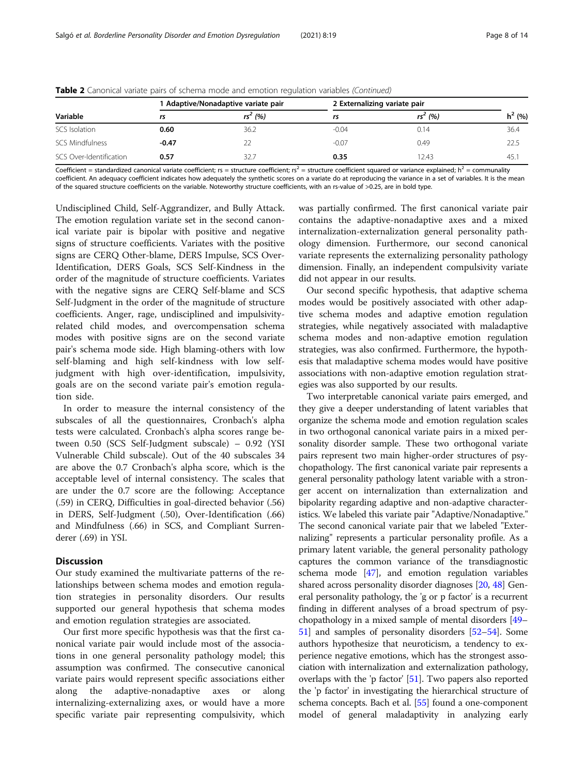| Variable                | 1 Adaptive/Nonadaptive variate pair |           | 2 Externalizing variate pair |           |          |
|-------------------------|-------------------------------------|-----------|------------------------------|-----------|----------|
|                         | rs                                  | $rs^2(%)$ | rs                           | $rs^2(%)$ | $h^2(%)$ |
| SCS Isolation           | 0.60                                | 36.2      | $-0.04$                      | 0.14      | 36.4     |
| <b>SCS Mindfulness</b>  | $-0.47$                             |           | $-0.07$                      | 0.49      | 22.5     |
| SCS Over-Identification | 0.57                                | 32.7      | 0.35                         | 12.43     | 45.      |

Table 2 Canonical variate pairs of schema mode and emotion regulation variables (Continued)

Coefficient = standardized canonical variate coefficient; rs = structure coefficient; rs<sup>2</sup> = structure coefficient squared or variance explained; h<sup>2</sup> = communality coefficient. An adequacy coefficient indicates how adequately the synthetic scores on a variate do at reproducing the variance in a set of variables. It is the mean of the squared structure coefficients on the variable. Noteworthy structure coefficients, with an rs-value of >0.25, are in bold type.

Undisciplined Child, Self-Aggrandizer, and Bully Attack. The emotion regulation variate set in the second canonical variate pair is bipolar with positive and negative signs of structure coefficients. Variates with the positive signs are CERQ Other-blame, DERS Impulse, SCS Over-Identification, DERS Goals, SCS Self-Kindness in the order of the magnitude of structure coefficients. Variates with the negative signs are CERQ Self-blame and SCS Self-Judgment in the order of the magnitude of structure coefficients. Anger, rage, undisciplined and impulsivityrelated child modes, and overcompensation schema modes with positive signs are on the second variate pair's schema mode side. High blaming-others with low self-blaming and high self-kindness with low selfjudgment with high over-identification, impulsivity, goals are on the second variate pair's emotion regulation side.

In order to measure the internal consistency of the subscales of all the questionnaires, Cronbach's alpha tests were calculated. Cronbach's alpha scores range between 0.50 (SCS Self-Judgment subscale) – 0.92 (YSI Vulnerable Child subscale). Out of the 40 subscales 34 are above the 0.7 Cronbach's alpha score, which is the acceptable level of internal consistency. The scales that are under the 0.7 score are the following: Acceptance (.59) in CERQ, Difficulties in goal-directed behavior (.56) in DERS, Self-Judgment (.50), Over-Identification (.66) and Mindfulness (.66) in SCS, and Compliant Surrenderer (.69) in YSI.

# **Discussion**

Our study examined the multivariate patterns of the relationships between schema modes and emotion regulation strategies in personality disorders. Our results supported our general hypothesis that schema modes and emotion regulation strategies are associated.

Our first more specific hypothesis was that the first canonical variate pair would include most of the associations in one general personality pathology model; this assumption was confirmed. The consecutive canonical variate pairs would represent specific associations either along the adaptive-nonadaptive axes or along internalizing-externalizing axes, or would have a more specific variate pair representing compulsivity, which was partially confirmed. The first canonical variate pair contains the adaptive-nonadaptive axes and a mixed internalization-externalization general personality pathology dimension. Furthermore, our second canonical variate represents the externalizing personality pathology dimension. Finally, an independent compulsivity variate did not appear in our results.

Our second specific hypothesis, that adaptive schema modes would be positively associated with other adaptive schema modes and adaptive emotion regulation strategies, while negatively associated with maladaptive schema modes and non-adaptive emotion regulation strategies, was also confirmed. Furthermore, the hypothesis that maladaptive schema modes would have positive associations with non-adaptive emotion regulation strategies was also supported by our results.

Two interpretable canonical variate pairs emerged, and they give a deeper understanding of latent variables that organize the schema mode and emotion regulation scales in two orthogonal canonical variate pairs in a mixed personality disorder sample. These two orthogonal variate pairs represent two main higher-order structures of psychopathology. The first canonical variate pair represents a general personality pathology latent variable with a stronger accent on internalization than externalization and bipolarity regarding adaptive and non-adaptive characteristics. We labeled this variate pair "Adaptive/Nonadaptive." The second canonical variate pair that we labeled "Externalizing" represents a particular personality profile. As a primary latent variable, the general personality pathology captures the common variance of the transdiagnostic schema mode [[47](#page-12-0)], and emotion regulation variables shared across personality disorder diagnoses [\[20,](#page-12-0) [48](#page-12-0)] General personality pathology, the 'g or p factor' is a recurrent finding in different analyses of a broad spectrum of psychopathology in a mixed sample of mental disorders [\[49](#page-12-0)– [51](#page-12-0)] and samples of personality disorders [\[52](#page-12-0)–[54\]](#page-12-0). Some authors hypothesize that neuroticism, a tendency to experience negative emotions, which has the strongest association with internalization and externalization pathology, overlaps with the 'p factor' [[51](#page-12-0)]. Two papers also reported the 'p factor' in investigating the hierarchical structure of schema concepts. Bach et al. [\[55](#page-12-0)] found a one-component model of general maladaptivity in analyzing early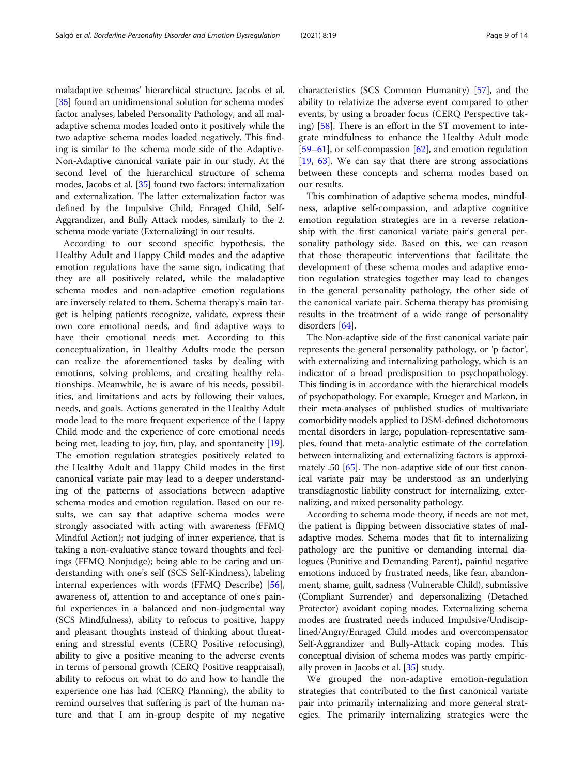maladaptive schemas' hierarchical structure. Jacobs et al. [[35](#page-12-0)] found an unidimensional solution for schema modes' factor analyses, labeled Personality Pathology, and all maladaptive schema modes loaded onto it positively while the two adaptive schema modes loaded negatively. This finding is similar to the schema mode side of the Adaptive-Non-Adaptive canonical variate pair in our study. At the second level of the hierarchical structure of schema modes, Jacobs et al. [\[35\]](#page-12-0) found two factors: internalization and externalization. The latter externalization factor was defined by the Impulsive Child, Enraged Child, Self-Aggrandizer, and Bully Attack modes, similarly to the 2. schema mode variate (Externalizing) in our results.

According to our second specific hypothesis, the Healthy Adult and Happy Child modes and the adaptive emotion regulations have the same sign, indicating that they are all positively related, while the maladaptive schema modes and non-adaptive emotion regulations are inversely related to them. Schema therapy's main target is helping patients recognize, validate, express their own core emotional needs, and find adaptive ways to have their emotional needs met. According to this conceptualization, in Healthy Adults mode the person can realize the aforementioned tasks by dealing with emotions, solving problems, and creating healthy relationships. Meanwhile, he is aware of his needs, possibilities, and limitations and acts by following their values, needs, and goals. Actions generated in the Healthy Adult mode lead to the more frequent experience of the Happy Child mode and the experience of core emotional needs being met, leading to joy, fun, play, and spontaneity [\[19](#page-11-0)]. The emotion regulation strategies positively related to the Healthy Adult and Happy Child modes in the first canonical variate pair may lead to a deeper understanding of the patterns of associations between adaptive schema modes and emotion regulation. Based on our results, we can say that adaptive schema modes were strongly associated with acting with awareness (FFMQ Mindful Action); not judging of inner experience, that is taking a non-evaluative stance toward thoughts and feelings (FFMQ Nonjudge); being able to be caring and understanding with one's self (SCS Self-Kindness), labeling internal experiences with words (FFMQ Describe) [\[56](#page-12-0)], awareness of, attention to and acceptance of one's painful experiences in a balanced and non-judgmental way (SCS Mindfulness), ability to refocus to positive, happy and pleasant thoughts instead of thinking about threatening and stressful events (CERQ Positive refocusing), ability to give a positive meaning to the adverse events in terms of personal growth (CERQ Positive reappraisal), ability to refocus on what to do and how to handle the experience one has had (CERQ Planning), the ability to remind ourselves that suffering is part of the human nature and that I am in-group despite of my negative characteristics (SCS Common Humanity) [[57](#page-12-0)], and the ability to relativize the adverse event compared to other events, by using a broader focus (CERQ Perspective taking) [[58\]](#page-12-0). There is an effort in the ST movement to integrate mindfulness to enhance the Healthy Adult mode  $[59–61]$  $[59–61]$  $[59–61]$  $[59–61]$  $[59–61]$ , or self-compassion  $[62]$  $[62]$  $[62]$ , and emotion regulation [[19,](#page-11-0) [63\]](#page-12-0). We can say that there are strong associations between these concepts and schema modes based on our results.

This combination of adaptive schema modes, mindfulness, adaptive self-compassion, and adaptive cognitive emotion regulation strategies are in a reverse relationship with the first canonical variate pair's general personality pathology side. Based on this, we can reason that those therapeutic interventions that facilitate the development of these schema modes and adaptive emotion regulation strategies together may lead to changes in the general personality pathology, the other side of the canonical variate pair. Schema therapy has promising results in the treatment of a wide range of personality disorders [\[64](#page-13-0)].

The Non-adaptive side of the first canonical variate pair represents the general personality pathology, or 'p factor', with externalizing and internalizing pathology, which is an indicator of a broad predisposition to psychopathology. This finding is in accordance with the hierarchical models of psychopathology. For example, Krueger and Markon, in their meta-analyses of published studies of multivariate comorbidity models applied to DSM-defined dichotomous mental disorders in large, population-representative samples, found that meta-analytic estimate of the correlation between internalizing and externalizing factors is approxi-mately .50 [\[65](#page-13-0)]. The non-adaptive side of our first canonical variate pair may be understood as an underlying transdiagnostic liability construct for internalizing, externalizing, and mixed personality pathology.

According to schema mode theory, if needs are not met, the patient is flipping between dissociative states of maladaptive modes. Schema modes that fit to internalizing pathology are the punitive or demanding internal dialogues (Punitive and Demanding Parent), painful negative emotions induced by frustrated needs, like fear, abandonment, shame, guilt, sadness (Vulnerable Child), submissive (Compliant Surrender) and depersonalizing (Detached Protector) avoidant coping modes. Externalizing schema modes are frustrated needs induced Impulsive/Undisciplined/Angry/Enraged Child modes and overcompensator Self-Aggrandizer and Bully-Attack coping modes. This conceptual division of schema modes was partly empirically proven in Jacobs et al. [\[35](#page-12-0)] study.

We grouped the non-adaptive emotion-regulation strategies that contributed to the first canonical variate pair into primarily internalizing and more general strategies. The primarily internalizing strategies were the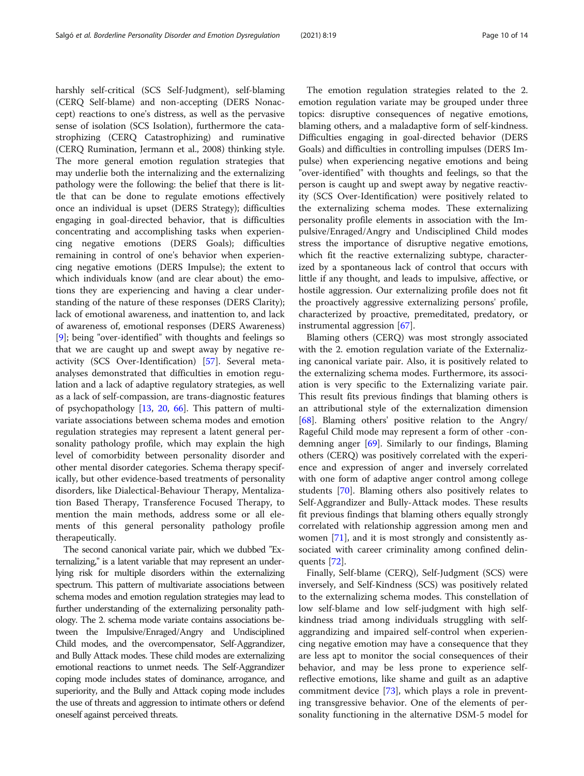harshly self-critical (SCS Self-Judgment), self-blaming (CERQ Self-blame) and non-accepting (DERS Nonaccept) reactions to one's distress, as well as the pervasive

The emotion regulation strategies related to the 2. emotion regulation variate may be grouped under three topics: disruptive consequences of negative emotions, blaming others, and a maladaptive form of self-kindness. Difficulties engaging in goal-directed behavior (DERS Goals) and difficulties in controlling impulses (DERS Impulse) when experiencing negative emotions and being "over-identified" with thoughts and feelings, so that the person is caught up and swept away by negative reactivity (SCS Over-Identification) were positively related to the externalizing schema modes. These externalizing personality profile elements in association with the Impulsive/Enraged/Angry and Undisciplined Child modes stress the importance of disruptive negative emotions, which fit the reactive externalizing subtype, characterized by a spontaneous lack of control that occurs with little if any thought, and leads to impulsive, affective, or hostile aggression. Our externalizing profile does not fit the proactively aggressive externalizing persons' profile,

instrumental aggression [\[67](#page-13-0)]. Blaming others (CERQ) was most strongly associated with the 2. emotion regulation variate of the Externalizing canonical variate pair. Also, it is positively related to the externalizing schema modes. Furthermore, its association is very specific to the Externalizing variate pair. This result fits previous findings that blaming others is an attributional style of the externalization dimension [[68\]](#page-13-0). Blaming others' positive relation to the Angry/ Rageful Child mode may represent a form of other -condemning anger [\[69\]](#page-13-0). Similarly to our findings, Blaming others (CERQ) was positively correlated with the experience and expression of anger and inversely correlated with one form of adaptive anger control among college students [[70\]](#page-13-0). Blaming others also positively relates to Self-Aggrandizer and Bully-Attack modes. These results fit previous findings that blaming others equally strongly correlated with relationship aggression among men and women [\[71](#page-13-0)], and it is most strongly and consistently associated with career criminality among confined delinquents [\[72\]](#page-13-0).

characterized by proactive, premeditated, predatory, or

Finally, Self-blame (CERQ), Self-Judgment (SCS) were inversely, and Self-Kindness (SCS) was positively related to the externalizing schema modes. This constellation of low self-blame and low self-judgment with high selfkindness triad among individuals struggling with selfaggrandizing and impaired self-control when experiencing negative emotion may have a consequence that they are less apt to monitor the social consequences of their behavior, and may be less prone to experience selfreflective emotions, like shame and guilt as an adaptive commitment device [[73](#page-13-0)], which plays a role in preventing transgressive behavior. One of the elements of personality functioning in the alternative DSM-5 model for

sense of isolation (SCS Isolation), furthermore the catastrophizing (CERQ Catastrophizing) and ruminative (CERQ Rumination, Jermann et al., 2008) thinking style. The more general emotion regulation strategies that may underlie both the internalizing and the externalizing pathology were the following: the belief that there is little that can be done to regulate emotions effectively once an individual is upset (DERS Strategy); difficulties engaging in goal-directed behavior, that is difficulties concentrating and accomplishing tasks when experiencing negative emotions (DERS Goals); difficulties remaining in control of one's behavior when experiencing negative emotions (DERS Impulse); the extent to which individuals know (and are clear about) the emotions they are experiencing and having a clear understanding of the nature of these responses (DERS Clarity); lack of emotional awareness, and inattention to, and lack of awareness of, emotional responses (DERS Awareness) [[9\]](#page-11-0); being "over-identified" with thoughts and feelings so that we are caught up and swept away by negative reactivity (SCS Over-Identification) [[57\]](#page-12-0). Several metaanalyses demonstrated that difficulties in emotion regulation and a lack of adaptive regulatory strategies, as well as a lack of self-compassion, are trans-diagnostic features of psychopathology [[13](#page-11-0), [20,](#page-12-0) [66](#page-13-0)]. This pattern of multivariate associations between schema modes and emotion regulation strategies may represent a latent general personality pathology profile, which may explain the high level of comorbidity between personality disorder and other mental disorder categories. Schema therapy specifically, but other evidence-based treatments of personality disorders, like Dialectical-Behaviour Therapy, Mentalization Based Therapy, Transference Focused Therapy, to mention the main methods, address some or all elements of this general personality pathology profile therapeutically.

The second canonical variate pair, which we dubbed "Externalizing," is a latent variable that may represent an underlying risk for multiple disorders within the externalizing spectrum. This pattern of multivariate associations between schema modes and emotion regulation strategies may lead to further understanding of the externalizing personality pathology. The 2. schema mode variate contains associations between the Impulsive/Enraged/Angry and Undisciplined Child modes, and the overcompensator, Self-Aggrandizer, and Bully Attack modes. These child modes are externalizing emotional reactions to unmet needs. The Self-Aggrandizer coping mode includes states of dominance, arrogance, and superiority, and the Bully and Attack coping mode includes the use of threats and aggression to intimate others or defend oneself against perceived threats.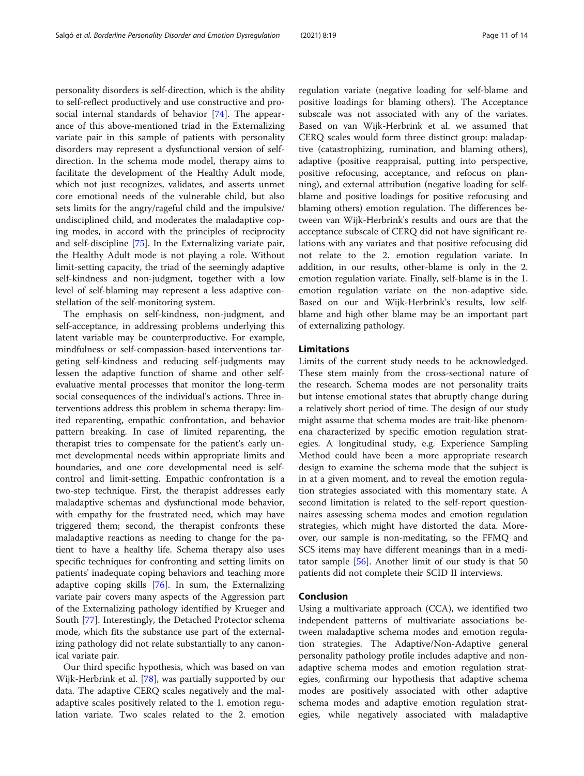personality disorders is self-direction, which is the ability to self-reflect productively and use constructive and prosocial internal standards of behavior [\[74\]](#page-13-0). The appearance of this above-mentioned triad in the Externalizing variate pair in this sample of patients with personality disorders may represent a dysfunctional version of selfdirection. In the schema mode model, therapy aims to facilitate the development of the Healthy Adult mode, which not just recognizes, validates, and asserts unmet core emotional needs of the vulnerable child, but also sets limits for the angry/rageful child and the impulsive/ undisciplined child, and moderates the maladaptive coping modes, in accord with the principles of reciprocity and self-discipline [[75\]](#page-13-0). In the Externalizing variate pair, the Healthy Adult mode is not playing a role. Without limit-setting capacity, the triad of the seemingly adaptive self-kindness and non-judgment, together with a low level of self-blaming may represent a less adaptive constellation of the self-monitoring system.

The emphasis on self-kindness, non-judgment, and self-acceptance, in addressing problems underlying this latent variable may be counterproductive. For example, mindfulness or self-compassion-based interventions targeting self-kindness and reducing self-judgments may lessen the adaptive function of shame and other selfevaluative mental processes that monitor the long-term social consequences of the individual's actions. Three interventions address this problem in schema therapy: limited reparenting, empathic confrontation, and behavior pattern breaking. In case of limited reparenting, the therapist tries to compensate for the patient's early unmet developmental needs within appropriate limits and boundaries, and one core developmental need is selfcontrol and limit-setting. Empathic confrontation is a two-step technique. First, the therapist addresses early maladaptive schemas and dysfunctional mode behavior, with empathy for the frustrated need, which may have triggered them; second, the therapist confronts these maladaptive reactions as needing to change for the patient to have a healthy life. Schema therapy also uses specific techniques for confronting and setting limits on patients' inadequate coping behaviors and teaching more adaptive coping skills [\[76](#page-13-0)]. In sum, the Externalizing variate pair covers many aspects of the Aggression part of the Externalizing pathology identified by Krueger and South [[77\]](#page-13-0). Interestingly, the Detached Protector schema mode, which fits the substance use part of the externalizing pathology did not relate substantially to any canonical variate pair.

Our third specific hypothesis, which was based on van Wijk-Herbrink et al. [[78\]](#page-13-0), was partially supported by our data. The adaptive CERQ scales negatively and the maladaptive scales positively related to the 1. emotion regulation variate. Two scales related to the 2. emotion

regulation variate (negative loading for self-blame and positive loadings for blaming others). The Acceptance subscale was not associated with any of the variates. Based on van Wijk-Herbrink et al. we assumed that CERQ scales would form three distinct group: maladaptive (catastrophizing, rumination, and blaming others), adaptive (positive reappraisal, putting into perspective, positive refocusing, acceptance, and refocus on planning), and external attribution (negative loading for selfblame and positive loadings for positive refocusing and blaming others) emotion regulation. The differences between van Wijk-Herbrink's results and ours are that the acceptance subscale of CERQ did not have significant relations with any variates and that positive refocusing did not relate to the 2. emotion regulation variate. In addition, in our results, other-blame is only in the 2. emotion regulation variate. Finally, self-blame is in the 1. emotion regulation variate on the non-adaptive side. Based on our and Wijk-Herbrink's results, low selfblame and high other blame may be an important part of externalizing pathology.

# Limitations

Limits of the current study needs to be acknowledged. These stem mainly from the cross-sectional nature of the research. Schema modes are not personality traits but intense emotional states that abruptly change during a relatively short period of time. The design of our study might assume that schema modes are trait-like phenomena characterized by specific emotion regulation strategies. A longitudinal study, e.g. Experience Sampling Method could have been a more appropriate research design to examine the schema mode that the subject is in at a given moment, and to reveal the emotion regulation strategies associated with this momentary state. A second limitation is related to the self-report questionnaires assessing schema modes and emotion regulation strategies, which might have distorted the data. Moreover, our sample is non-meditating, so the FFMQ and SCS items may have different meanings than in a meditator sample [[56](#page-12-0)]. Another limit of our study is that 50 patients did not complete their SCID II interviews.

# Conclusion

Using a multivariate approach (CCA), we identified two independent patterns of multivariate associations between maladaptive schema modes and emotion regulation strategies. The Adaptive/Non-Adaptive general personality pathology profile includes adaptive and nonadaptive schema modes and emotion regulation strategies, confirming our hypothesis that adaptive schema modes are positively associated with other adaptive schema modes and adaptive emotion regulation strategies, while negatively associated with maladaptive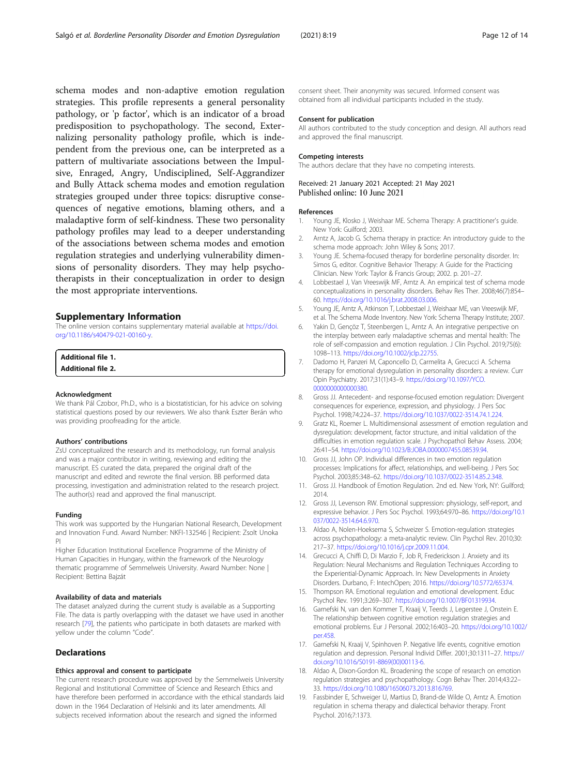<span id="page-11-0"></span>schema modes and non-adaptive emotion regulation strategies. This profile represents a general personality pathology, or 'p factor', which is an indicator of a broad predisposition to psychopathology. The second, Externalizing personality pathology profile, which is independent from the previous one, can be interpreted as a pattern of multivariate associations between the Impulsive, Enraged, Angry, Undisciplined, Self-Aggrandizer and Bully Attack schema modes and emotion regulation strategies grouped under three topics: disruptive consequences of negative emotions, blaming others, and a maladaptive form of self-kindness. These two personality pathology profiles may lead to a deeper understanding of the associations between schema modes and emotion regulation strategies and underlying vulnerability dimensions of personality disorders. They may help psychotherapists in their conceptualization in order to design the most appropriate interventions.

# Supplementary Information

The online version contains supplementary material available at [https://doi.](https://doi.org/10.1186/s40479-021-00160-y) [org/10.1186/s40479-021-00160-y](https://doi.org/10.1186/s40479-021-00160-y).

# Additional file 1.

Additional file 2.

#### Acknowledgment

We thank Pál Czobor, Ph.D., who is a biostatistician, for his advice on solving statistical questions posed by our reviewers. We also thank Eszter Berán who was providing proofreading for the article.

#### Authors' contributions

ZsU conceptualized the research and its methodology, run formal analysis and was a major contributor in writing, reviewing and editing the manuscript. ES curated the data, prepared the original draft of the manuscript and edited and rewrote the final version. BB performed data processing, investigation and administration related to the research project. The author(s) read and approved the final manuscript.

#### Funding

This work was supported by the Hungarian National Research, Development and Innovation Fund. Award Number: NKFI-132546 | Recipient: Zsolt Unoka PI

Higher Education Institutional Excellence Programme of the Ministry of Human Capacities in Hungary, within the framework of the Neurology thematic programme of Semmelweis University. Award Number: None | Recipient: Bettina Bajzát

# Availability of data and materials

The dataset analyzed during the current study is available as a Supporting File. The data is partly overlapping with the dataset we have used in another research [[79](#page-13-0)], the patients who participate in both datasets are marked with yellow under the column "Code".

#### Declarations

#### Ethics approval and consent to participate

The current research procedure was approved by the Semmelweis University Regional and Institutional Committee of Science and Research Ethics and have therefore been performed in accordance with the ethical standards laid down in the 1964 Declaration of Helsinki and its later amendments. All subjects received information about the research and signed the informed

consent sheet. Their anonymity was secured. Informed consent was obtained from all individual participants included in the study.

#### Consent for publication

All authors contributed to the study conception and design. All authors read and approved the final manuscript.

#### Competing interests

The authors declare that they have no competing interests.

Received: 21 January 2021 Accepted: 21 May 2021 Published online: 10 June 2021

#### References

- 1. Young JE, Klosko J, Weishaar ME. Schema Therapy: A practitioner's guide. New York: Guilford; 2003.
- 2. Arntz A, Jacob G. Schema therapy in practice: An introductory guide to the schema mode approach: John Wiley & Sons; 2017.
- 3. Young JE. Schema-focused therapy for borderline personality disorder. In: Simos G, editor. Cognitive Behavior Therapy: A Guide for the Practicing Clinician. New York: Taylor & Francis Group; 2002. p. 201–27.
- 4. Lobbestael J, Van Vreeswijk MF, Arntz A. An empirical test of schema mode conceptualizations in personality disorders. Behav Res Ther. 2008;46(7):854– 60. <https://doi.org/10.1016/j.brat.2008.03.006>.
- 5. Young JE, Arntz A, Atkinson T, Lobbestael J, Weishaar ME, van Vreeswijk MF, et al. The Schema Mode Inventory. New York: Schema Therapy Institute; 2007.
- 6. Yakin D, Gençöz T, Steenbergen L, Arntz A. An integrative perspective on the interplay between early maladaptive schemas and mental health: The role of self-compassion and emotion regulation. J Clin Psychol. 2019;75(6): 1098–113. [https://doi.org/10.1002/jclp.22755.](https://doi.org/10.1002/jclp.22755)
- 7. Dadomo H, Panzeri M, Caponcello D, Carmelita A, Grecucci A. Schema therapy for emotional dysregulation in personality disorders: a review. Curr Opin Psychiatry. 2017;31(1):43–9. [https://doi.org/10.1097/YCO.](https://doi.org/10.1097/YCO.0000000000000380) [0000000000000380](https://doi.org/10.1097/YCO.0000000000000380).
- Gross JJ. Antecedent- and response-focused emotion regulation: Divergent consequences for experience, expression, and physiology. J Pers Soc Psychol. 1998;74:224–37. [https://doi.org/10.1037/0022-3514.74.1.224.](https://doi.org/10.1037/0022-3514.74.1.224)
- 9. Gratz KL, Roemer L. Multidimensional assessment of emotion regulation and dysregulation: development, factor structure, and initial validation of the difficulties in emotion regulation scale. J Psychopathol Behav Assess. 2004; 26:41–54. [https://doi.org/10.1023/B:JOBA.0000007455.08539.94.](https://doi.org/10.1023/B:JOBA.0000007455.08539.94)
- 10. Gross JJ, John OP. Individual differences in two emotion regulation processes: Implications for affect, relationships, and well-being. J Pers Soc Psychol. 2003;85:348–62. [https://doi.org/10.1037/0022-3514.85.2.348.](https://doi.org/10.1037/0022-3514.85.2.348)
- 11. Gross JJ. Handbook of Emotion Regulation. 2nd ed. New York, NY: Guilford; 2014.
- 12. Gross JJ, Levenson RW. Emotional suppression: physiology, self-report, and expressive behavior. J Pers Soc Psychol. 1993;64:970–86. [https://doi.org/10.1](https://doi.org/10.1037/0022-3514.64.6.970) [037/0022-3514.64.6.970.](https://doi.org/10.1037/0022-3514.64.6.970)
- 13. Aldao A, Nolen-Hoeksema S, Schweizer S. Emotion-regulation strategies across psychopathology: a meta-analytic review. Clin Psychol Rev. 2010;30: 217–37. [https://doi.org/10.1016/j.cpr.2009.11.004.](https://doi.org/10.1016/j.cpr.2009.11.004)
- 14. Grecucci A, Chiffi D, Di Marzio F, Job R, Frederickson J. Anxiety and its Regulation: Neural Mechanisms and Regulation Techniques According to the Experiential-Dynamic Approach. In: New Developments in Anxiety Disorders. Durbano, F: IntechOpen; 2016. [https://doi.org/10.5772/65374.](https://doi.org/10.5772/65374)
- 15. Thompson RA. Emotional regulation and emotional development. Educ Psychol Rev. 1991;3:269–307. [https://doi.org/10.1007/BF01319934.](https://doi.org/10.1007/BF01319934)
- 16. Garnefski N, van den Kommer T, Kraaij V, Teerds J, Legerstee J, Onstein E. The relationship between cognitive emotion regulation strategies and emotional problems. Eur J Personal. 2002;16:403–20. [https://doi.org/10.1002/](https://doi.org/10.1002/per.458) [per.458](https://doi.org/10.1002/per.458).
- 17. Garnefski N, Kraaij V, Spinhoven P. Negative life events, cognitive emotion regulation and depression. Personal Individ Differ. 2001;30:1311–27. [https://](https://doi.org/10.1016/S0191-8869(00)00113-6) [doi.org/10.1016/S0191-8869\(00\)00113-6](https://doi.org/10.1016/S0191-8869(00)00113-6).
- 18. Aldao A, Dixon-Gordon KL. Broadening the scope of research on emotion regulation strategies and psychopathology. Cogn Behav Ther. 2014;43:22– 33. [https://doi.org/10.1080/16506073.2013.816769.](https://doi.org/10.1080/16506073.2013.816769)
- 19. Fassbinder E, Schweiger U, Martius D, Brand-de Wilde O, Arntz A. Emotion regulation in schema therapy and dialectical behavior therapy. Front Psychol. 2016;7:1373.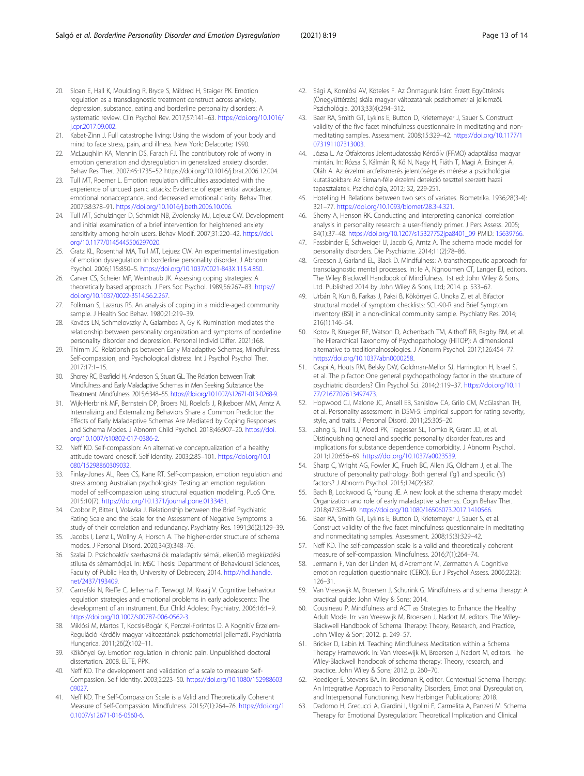- <span id="page-12-0"></span>20. Sloan E, Hall K, Moulding R, Bryce S, Mildred H, Staiger PK. Emotion regulation as a transdiagnostic treatment construct across anxiety, depression, substance, eating and borderline personality disorders: A systematic review. Clin Psychol Rev. 2017;57:141–63. [https://doi.org/10.1016/](https://doi.org/10.1016/j.cpr.2017.09.002) [j.cpr.2017.09.002.](https://doi.org/10.1016/j.cpr.2017.09.002)
- 21. Kabat-Zinn J. Full catastrophe living: Using the wisdom of your body and mind to face stress, pain, and illness. New York: Delacorte; 1990.
- 22. McLaughlin KA, Mennin DS, Farach FJ. The contributory role of worry in emotion generation and dysregulation in generalized anxiety disorder. Behav Res Ther. 2007;45:1735–52 https://doi.org/10.1016/j.brat.2006.12.004.
- 23. Tull MT, Roemer L. Emotion regulation difficulties associated with the experience of uncued panic attacks: Evidence of experiential avoidance, emotional nonacceptance, and decreased emotional clarity. Behav Ther. 2007;38:378–91. [https://doi.org/10.1016/j.beth.2006.10.006.](https://doi.org/10.1016/j.beth.2006.10.006)
- 24. Tull MT, Schulzinger D, Schmidt NB, Zvolensky MJ, Lejeuz CW. Development and initial examination of a brief intervention for heightened anxiety sensitivity among heroin users. Behav Modif. 2007;31:220–42. [https://doi.](https://doi.org/10.1177/0145445506297020) [org/10.1177/0145445506297020.](https://doi.org/10.1177/0145445506297020)
- 25. Gratz KL, Rosenthal MA, Tull MT, Lejuez CW. An experimental investigation of emotion dysregulation in borderline personality disorder. J Abnorm Psychol. 2006;115:850–5. [https://doi.org/10.1037/0021-843X.115.4.850.](https://doi.org/10.1037/0021-843X.115.4.850)
- 26. Carver CS, Scheier MF, Weintraub JK. Assessing coping strategies: A theoretically based approach. J Pers Soc Psychol. 1989;56:267–83. [https://](https://doi.org/10.1037/0022-3514.56.2.267) [doi.org/10.1037/0022-3514.56.2.267.](https://doi.org/10.1037/0022-3514.56.2.267)
- 27. Folkman S, Lazarus RS. An analysis of coping in a middle-aged community sample. J Health Soc Behav. 1980;21:219–39.
- 28. Kovács LN, Schmelovszky Á, Galambos A, Gy K. Rumination mediates the relationship between personality organization and symptoms of borderline personality disorder and depression. Personal Individ Differ. 2021;168.
- 29. Thimm JC. Relationships between Early Maladaptive Schemas, Mindfulness. Self-compassion, and Psychological distress. Int J Psychol Psychol Ther. 2017;17:1–15.
- 30. Shorey RC, Brasfield H, Anderson S, Stuart GL. The Relation between Trait Mindfulness and Early Maladaptive Schemas in Men Seeking Substance Use Treatment. Mindfulness. 2015;6:348–55. <https://doi.org/10.1007/s12671-013-0268-9>.
- 31. Wijk-Herbrink MF, Bernstein DP, Broers NJ, Roelofs J, Rijkeboer MM, Arntz A. Internalizing and Externalizing Behaviors Share a Common Predictor: the Effects of Early Maladaptive Schemas Are Mediated by Coping Responses and Schema Modes. J Abnorm Child Psychol. 2018;46:907–20. [https://doi.](https://doi.org/10.1007/s10802-017-0386-2) [org/10.1007/s10802-017-0386-2](https://doi.org/10.1007/s10802-017-0386-2).
- 32. Neff KD. Self-compassion: An alternative conceptualization of a healthy attitude toward oneself. Self Identity. 2003;2:85–101. [https://doi.org/10.1](https://doi.org/10.1080/15298860309032) [080/15298860309032](https://doi.org/10.1080/15298860309032).
- 33. Finlay-Jones AL, Rees CS, Kane RT. Self-compassion, emotion regulation and stress among Australian psychologists: Testing an emotion regulation model of self-compassion using structural equation modeling. PLoS One. 2015;10(7). [https://doi.org/10.1371/journal.pone.0133481.](https://doi.org/10.1371/journal.pone.0133481)
- 34. Czobor P, Bitter I, Volavka J. Relationship between the Brief Psychiatric Rating Scale and the Scale for the Assessment of Negative Symptoms: a study of their correlation and redundancy. Psychiatry Res. 1991;36(2):129–39.
- 35. Jacobs I, Lenz L, Wollny A, Horsch A. The higher-order structure of schema modes. J Personal Disord. 2020;34(3):348–76.
- 36. Szalai D. Pszichoaktív szerhasználók maladaptív sémái, elkerülő megküzdési stílusa és sémamódjai. In: MSC Thesis: Department of Behavioural Sciences, Faculty of Public Health, University of Debrecen; 2014. [http://hdl.handle.](http://hdl.handle.net/2437/193409) [net/2437/193409](http://hdl.handle.net/2437/193409).
- 37. Garnefski N, Rieffe C, Jellesma F, Terwogt M, Kraaij V. Cognitive behaviour regulation strategies and emotional problems in early adolescents: The development of an instrument. Eur Child Adolesc Psychiatry. 2006;16:1–9. <https://doi.org/10.1007/s00787-006-0562-3>.
- 38. Miklósi M, Martos T, Kocsis-Bogár K, Perczel-Forintos D. A Kognitív Érzelem-Reguláció Kérdőív magyar változatának pszichometriai jellemzői. Psychiatria Hungarica. 2011;26(2):102–11.
- 39. Kökönyei Gy. Emotion regulation in chronic pain. Unpublished doctoral dissertation. 2008. ELTE, PPK.
- 40. Neff KD. The development and validation of a scale to measure Self-Compassion. Self Identity. 2003;2:223–50. [https://doi.org/10.1080/152988603](https://doi.org/10.1080/15298860309027) [09027.](https://doi.org/10.1080/15298860309027)
- 41. Neff KD. The Self-Compassion Scale is a Valid and Theoretically Coherent Measure of Self-Compassion. Mindfulness. 2015;7(1):264–76. [https://doi.org/1](https://doi.org/10.1007/s12671-016-0560-6) [0.1007/s12671-016-0560-6.](https://doi.org/10.1007/s12671-016-0560-6)
- 42. Sági A, Komlósi AV, Köteles F. Az Önmagunk Iránt Érzett Együttérzés (Önegyüttérzés) skála magyar változatának pszichometriai jellemzői. Pszichológia. 2013;33(4):294–312.
- 43. Baer RA, Smith GT, Lykins E, Button D, Krietemeyer J, Sauer S. Construct validity of the five facet mindfulness questionnaire in meditating and nonmeditating samples. Assessment. 2008;15:329–42. [https://doi.org/10.1177/1](https://doi.org/10.1177/1073191107313003) [073191107313003.](https://doi.org/10.1177/1073191107313003)
- 44. Józsa L. Az Ötfaktoros Jelentudatosság Kérdőív (FFMQ) adaptálása magyar mintán. In: Rózsa S, Kálmán R, Kő N, Nagy H, Fiáth T, Magi A, Eisinger A, Oláh A. Az érzelmi arcfelismerés jelentősége és mérése a pszichológiai kutatásokban: Az Ekman-féle érzelmi detekció teszttel szerzett hazai tapasztalatok. Pszichológia, 2012; 32, 229-251.
- 45. Hotelling H. Relations between two sets of variates. Biometrika. 1936;28(3-4): 321–77. <https://doi.org/10.1093/biomet/28.3-4.321>.
- 46. Sherry A, Henson RK. Conducting and interpreting canonical correlation analysis in personality research: a user-friendly primer. J Pers Assess. 2005; 84(1):37–48. [https://doi.org/10.1207/s15327752jpa8401\\_09](https://doi.org/10.1207/s15327752jpa8401_09) PMID: [15639766.](https://www.ncbi.nlm.nih.gov/pubmed/15639766)
- 47. Fassbinder E, Schweiger U, Jacob G, Arntz A. The schema mode model for personality disorders. Die Psychiatrie. 2014;11(2):78–86.
- 48. Greeson J, Garland EL, Black D. Mindfulness: A transtherapeutic approach for transdiagnostic mental processes. In: Ie A, Ngnoumen CT, Langer EJ, editors. The Wiley Blackwell Handbook of Mindfulness. 1st ed: John Wiley & Sons, Ltd. Published 2014 by John Wiley & Sons, Ltd; 2014. p. 533–62.
- 49. Urbán R, Kun B, Farkas J, Paksi B, Kökönyei G, Unoka Z, et al. Bifactor structural model of symptom checklists: SCL-90-R and Brief Symptom Inventory (BSI) in a non-clinical community sample. Psychiatry Res. 2014; 216(1):146–54.
- 50. Kotov R, Krueger RF, Watson D, Achenbach TM, Althoff RR, Bagby RM, et al. The Hierarchical Taxonomy of Psychopathology (HiTOP): A dimensional alternative to traditionalnosologies. J Abnorm Psychol. 2017;126:454–77. [https://doi.org/10.1037/abn0000258.](https://doi.org/10.1037/abn0000258)
- 51. Caspi A, Houts RM, Belsky DW, Goldman-Mellor SJ, Harrington H, Israel S, et al. The p factor: One general psychopathology factor in the structure of psychiatric disorders? Clin Psychol Sci. 2014;2:119–37. [https://doi.org/10.11](https://doi.org/10.1177/2167702613497473) [77/2167702613497473.](https://doi.org/10.1177/2167702613497473)
- 52. Hopwood CJ, Malone JC, Ansell EB, Sanislow CA, Grilo CM, McGlashan TH, et al. Personality assessment in DSM-5: Empirical support for rating severity, style, and traits. J Personal Disord. 2011;25:305–20.
- 53. Jahng S, Trull TJ, Wood PK, Tragesser SL, Tomko R, Grant JD, et al. Distinguishing general and specific personality disorder features and implications for substance dependence comorbidity. J Abnorm Psychol. 2011;120:656–69. <https://doi.org/10.1037/a0023539>.
- 54. Sharp C, Wright AG, Fowler JC, Frueh BC, Allen JG, Oldham J, et al. The structure of personality pathology: Both general ('g') and specific ('s') factors? J Abnorm Psychol. 2015;124(2):387.
- 55. Bach B, Lockwood G, Young JE. A new look at the schema therapy model: Organization and role of early maladaptive schemas. Cogn Behav Ther. 2018;47:328–49. [https://doi.org/10.1080/16506073.2017.1410566.](https://doi.org/10.1080/16506073.2017.1410566)
- 56. Baer RA, Smith GT, Lykins E, Button D, Krietemeyer J, Sauer S, et al. Construct validity of the five facet mindfulness questionnaire in meditating and nonmeditating samples. Assessment. 2008;15(3):329–42.
- 57. Neff KD. The self-compassion scale is a valid and theoretically coherent measure of self-compassion. Mindfulness. 2016;7(1):264–74.
- Jermann F, Van der Linden M, d'Acremont M, Zermatten A. Cognitive emotion regulation questionnaire (CERQ). Eur J Psychol Assess. 2006;22(2): 126–31.
- 59. Van Vreeswijk M, Broersen J, Schurink G. Mindfulness and schema therapy: A practical guide: John Wiley & Sons; 2014.
- 60. Cousineau P. Mindfulness and ACT as Strategies to Enhance the Healthy Adult Mode. In: van Vreeswijk M, Broersen J, Nadort M, editors. The Wiley-Blackwell Handbook of Schema Therapy: Theory, Research, and Practice, John Wiley & Son; 2012. p. 249–57.
- 61. Bricker D, Labin M. Teaching Mindfulness Meditation within a Schema Therapy Framework. In: Van Vreeswijk M, Broersen J, Nadort M, editors. The Wiley-Blackwell handbook of schema therapy: Theory, research, and practice. John Wiley & Sons; 2012. p. 260–70.
- 62. Roediger E, Stevens BA. In: Brockman R, editor. Contextual Schema Therapy: An Integrative Approach to Personality Disorders, Emotional Dysregulation, and Interpersonal Functioning. New Harbinger Publications; 2018.
- 63. Dadomo H, Grecucci A, Giardini I, Ugolini E, Carmelita A, Panzeri M. Schema Therapy for Emotional Dysregulation: Theoretical Implication and Clinical